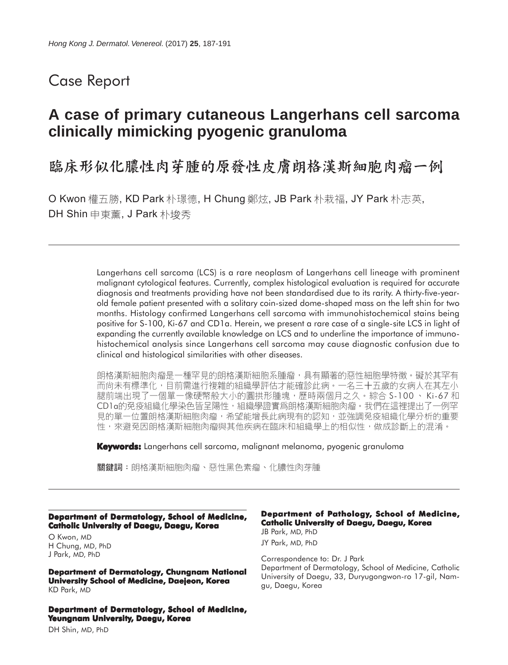## Case Report

# **A case of primary cutaneous Langerhans cell sarcoma clinically mimicking pyogenic granuloma**

臨床形似化膿性肉芽腫的原發性皮膚朗格漢斯細胞肉瘤一例

O Kwon 權五勝, KD Park 朴璟德, H Chung 鄭炫, JB Park 朴栽福, JY Park 朴志英, DH Shin 申東薰, J Park 朴埈秀

> Langerhans cell sarcoma (LCS) is a rare neoplasm of Langerhans cell lineage with prominent malignant cytological features. Currently, complex histological evaluation is required for accurate diagnosis and treatments providing have not been standardised due to its rarity. A thirty-five-yearold female patient presented with a solitary coin-sized dome-shaped mass on the left shin for two months. Histology confirmed Langerhans cell sarcoma with immunohistochemical stains being positive for S-100, Ki-67 and CD1a. Herein, we present a rare case of a single-site LCS in light of expanding the currently available knowledge on LCS and to underline the importance of immunohistochemical analysis since Langerhans cell sarcoma may cause diagnostic confusion due to clinical and histological similarities with other diseases.

> 朗格漢斯細胞肉瘤是一種罕見的朗格漢斯細胞系腫瘤,具有顯著的惡性細胞學特徵。礙於其罕有 而尚未有標準化,目前需進行複雜的組織學評估才能確診此病。一名三十五歲的女病人在其左小 腿前端出現了一個單一像硬幣般大小的圓拱形腫塊,歷時兩個月之久。綜合 S-100 、Ki-67 和 CD1a的免疫組織化學染色皆呈陽性,組織學證實爲朗格漢斯細胞肉瘤。我們在這裡提出了一例罕<br>見的單一位置朗格漢斯細胞肉瘤,希望能增長此病現有的認知,並強調免疫組織化學分析的重要 性,來避免因朗格漢斯細胞肉瘤與其他疾病在臨床和組織學上的相似性,做成診斷上的混淆。

**Keywords:** Langerhans cell sarcoma, malignant melanoma, pyogenic granuloma

關鍵詞:朗格漢斯細胞肉瘤、惡性黑色素瘤、化膿性肉芽腫

**Department of Dermatology, School of Medicine, Catholic University of Daegu, Daegu, Korea**

O Kwon, MD H Chung, MD, PhD J Park, MD, PhD

**Department of Dermatology, Chungnam National University School of Medicine, Daejeon, Korea** KD Park, MD

**Department of Dermatology, School of Medicine, Yeungnam University, Daegu, Korea**

#### **Department of Pathology, School of Medicine, Catholic University of Daegu, Daegu, Korea** JB Park, MD, PhD JY Park, MD, PhD

Correspondence to: Dr. J Park Department of Dermatology, School of Medicine, Catholic University of Daegu, 33, Duryugongwon-ro 17-gil, Namgu, Daegu, Korea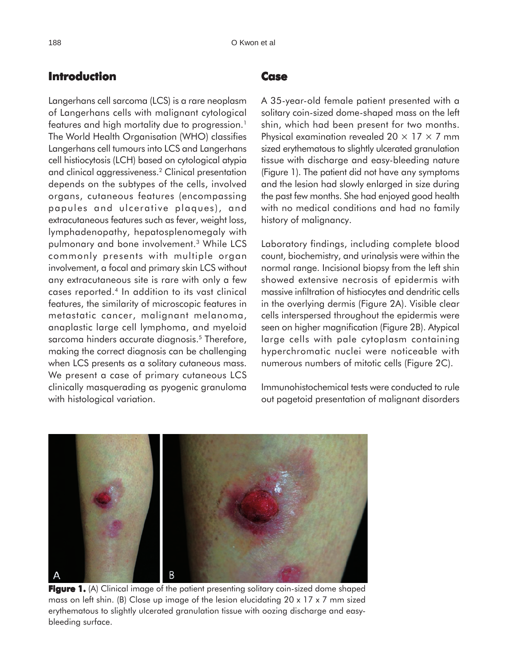### **Introduction**

Langerhans cell sarcoma (LCS) is a rare neoplasm of Langerhans cells with malignant cytological features and high mortality due to progression.<sup>1</sup> The World Health Organisation (WHO) classifies Langerhans cell tumours into LCS and Langerhans cell histiocytosis (LCH) based on cytological atypia and clinical aggressiveness.2 Clinical presentation depends on the subtypes of the cells, involved organs, cutaneous features (encompassing papules and ulcerative plaques), and extracutaneous features such as fever, weight loss, lymphadenopathy, hepatosplenomegaly with pulmonary and bone involvement.3 While LCS commonly presents with multiple organ involvement, a focal and primary skin LCS without any extracutaneous site is rare with only a few cases reported.4 In addition to its vast clinical features, the similarity of microscopic features in metastatic cancer, malignant melanoma, anaplastic large cell lymphoma, and myeloid sarcoma hinders accurate diagnosis.<sup>5</sup> Therefore, making the correct diagnosis can be challenging when LCS presents as a solitary cutaneous mass. We present a case of primary cutaneous LCS clinically masquerading as pyogenic granuloma with histological variation.

#### **Case**

A 35-year-old female patient presented with a solitary coin-sized dome-shaped mass on the left shin, which had been present for two months. Physical examination revealed  $20 \times 17 \times 7$  mm sized erythematous to slightly ulcerated granulation tissue with discharge and easy-bleeding nature (Figure 1). The patient did not have any symptoms and the lesion had slowly enlarged in size during the past few months. She had enjoyed good health with no medical conditions and had no family history of malignancy.

Laboratory findings, including complete blood count, biochemistry, and urinalysis were within the normal range. Incisional biopsy from the left shin showed extensive necrosis of epidermis with massive infiltration of histiocytes and dendritic cells in the overlying dermis (Figure 2A). Visible clear cells interspersed throughout the epidermis were seen on higher magnification (Figure 2B). Atypical large cells with pale cytoplasm containing hyperchromatic nuclei were noticeable with numerous numbers of mitotic cells (Figure 2C).

Immunohistochemical tests were conducted to rule out pagetoid presentation of malignant disorders



**Figure 1.** (A) Clinical image of the patient presenting solitary coin-sized dome shaped mass on left shin. (B) Close up image of the lesion elucidating 20 x 17 x 7 mm sized erythematous to slightly ulcerated granulation tissue with oozing discharge and easybleeding surface.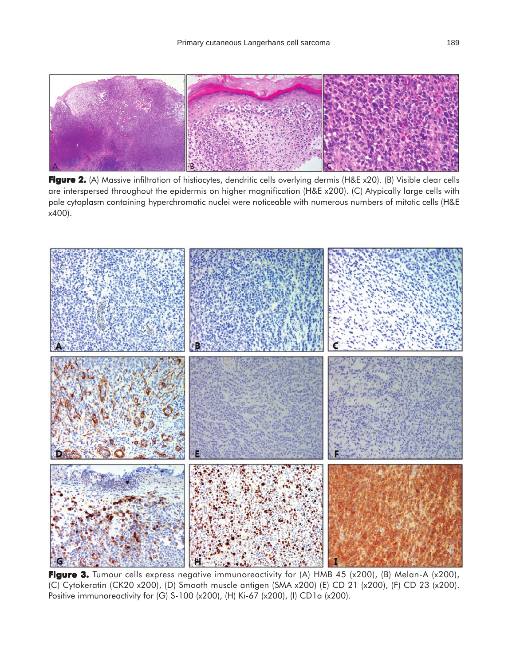

**Figure 2.** (A) Massive infiltration of histiocytes, dendritic cells overlying dermis (H&E x20). (B) Visible clear cells are interspersed throughout the epidermis on higher magnification (H&E x200). (C) Atypically large cells with pale cytoplasm containing hyperchromatic nuclei were noticeable with numerous numbers of mitotic cells (H&E x400).



Figure 3. Tumour cells express negative immunoreactivity for (A) HMB 45 (x200), (B) Melan-A (x200), (C) Cytokeratin (CK20 x200), (D) Smooth muscle antigen (SMA x200) (E) CD 21 (x200), (F) CD 23 (x200). Positive immunoreactivity for (G) S-100 (x200), (H) Ki-67 (x200), (I) CD1a (x200).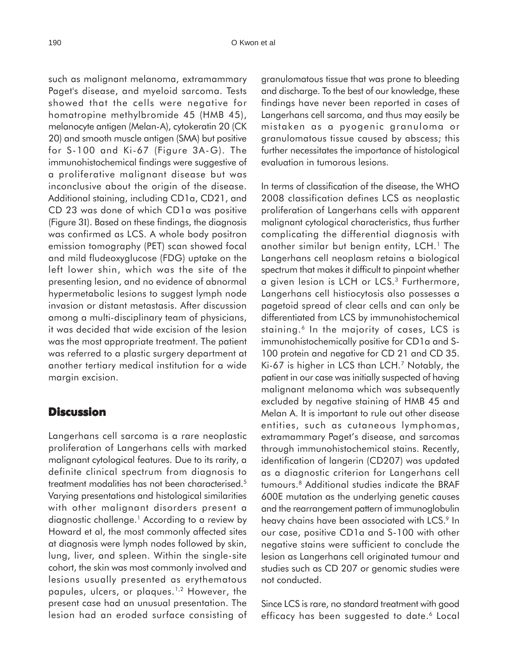such as malignant melanoma, extramammary Paget's disease, and myeloid sarcoma. Tests showed that the cells were negative for homatropine methylbromide 45 (HMB 45), melanocyte antigen (Melan-A), cytokeratin 20 (CK 20) and smooth muscle antigen (SMA) but positive for S-100 and Ki-67 (Figure 3A-G). The immunohistochemical findings were suggestive of a proliferative malignant disease but was inconclusive about the origin of the disease. Additional staining, including CD1a, CD21, and CD 23 was done of which CD1a was positive (Figure 3I). Based on these findings, the diagnosis was confirmed as LCS. A whole body positron emission tomography (PET) scan showed focal and mild fludeoxyglucose (FDG) uptake on the left lower shin, which was the site of the presenting lesion, and no evidence of abnormal hypermetabolic lesions to suggest lymph node invasion or distant metastasis. After discussion among a multi-disciplinary team of physicians, it was decided that wide excision of the lesion was the most appropriate treatment. The patient was referred to a plastic surgery department at another tertiary medical institution for a wide margin excision.

#### **Discussion**

Langerhans cell sarcoma is a rare neoplastic proliferation of Langerhans cells with marked malignant cytological features. Due to its rarity, a definite clinical spectrum from diagnosis to treatment modalities has not been characterised.5 Varying presentations and histological similarities with other malignant disorders present a diagnostic challenge.1 According to a review by Howard et al, the most commonly affected sites at diagnosis were lymph nodes followed by skin, lung, liver, and spleen. Within the single-site cohort, the skin was most commonly involved and lesions usually presented as erythematous papules, ulcers, or plaques.<sup>1,2</sup> However, the present case had an unusual presentation. The lesion had an eroded surface consisting of granulomatous tissue that was prone to bleeding and discharge. To the best of our knowledge, these findings have never been reported in cases of Langerhans cell sarcoma, and thus may easily be mistaken as a pyogenic granuloma or granulomatous tissue caused by abscess; this further necessitates the importance of histological evaluation in tumorous lesions.

In terms of classification of the disease, the WHO 2008 classification defines LCS as neoplastic proliferation of Langerhans cells with apparent malignant cytological characteristics, thus further complicating the differential diagnosis with another similar but benign entity, LCH.<sup>1</sup> The Langerhans cell neoplasm retains a biological spectrum that makes it difficult to pinpoint whether a given lesion is LCH or LCS.3 Furthermore, Langerhans cell histiocytosis also possesses a pagetoid spread of clear cells and can only be differentiated from LCS by immunohistochemical staining.<sup>6</sup> In the majority of cases, LCS is immunohistochemically positive for CD1a and S-100 protein and negative for CD 21 and CD 35. Ki-67 is higher in LCS than LCH.7 Notably, the patient in our case was initially suspected of having malignant melanoma which was subsequently excluded by negative staining of HMB 45 and Melan A. It is important to rule out other disease entities, such as cutaneous lymphomas, extramammary Paget's disease, and sarcomas through immunohistochemical stains. Recently, identification of langerin (CD207) was updated as a diagnostic criterion for Langerhans cell tumours.8 Additional studies indicate the BRAF 600E mutation as the underlying genetic causes and the rearrangement pattern of immunoglobulin heavy chains have been associated with LCS.<sup>9</sup> In our case, positive CD1a and S-100 with other negative stains were sufficient to conclude the lesion as Langerhans cell originated tumour and studies such as CD 207 or genomic studies were not conducted.

Since LCS is rare, no standard treatment with good efficacy has been suggested to date.<sup>6</sup> Local